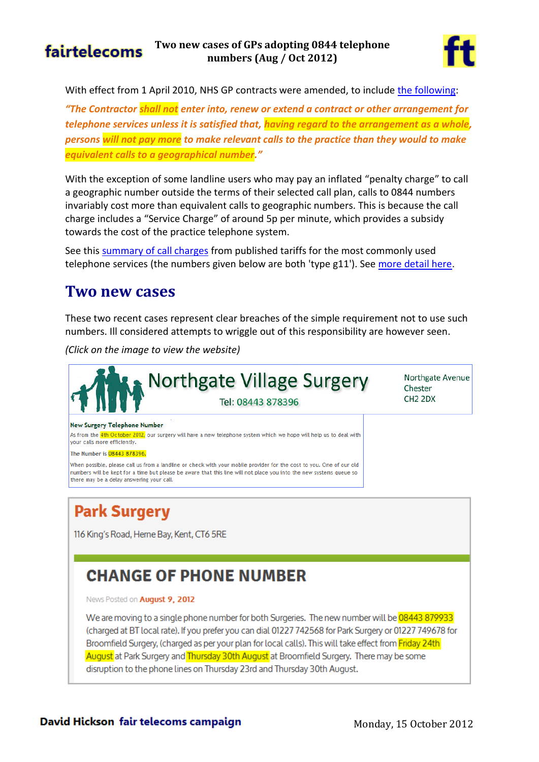



With effect from 1 April 2010, NHS GP contracts were amended, to include [the following:](http://www.fairtelecoms.org.uk/uploads/1/1/4/5/11456053/gms29b.pdf)

*"The Contractor shall not enter into, renew or extend a contract or other arrangement for telephone services unless it is satisfied that, having regard to the arrangement as a whole, persons will not pay more to make relevant calls to the practice than they would to make equivalent calls to a geographical number."*

With the exception of some landline users who may pay an inflated "penalty charge" to call a geographic number outside the terms of their selected call plan, calls to 0844 numbers invariably cost more than equivalent calls to geographic numbers. This is because the call charge includes a "Service Charge" of around 5p per minute, which provides a subsidy towards the cost of the practice telephone system.

See thi[s summary of call charges](http://tiny.cc/GP084Costs) from published tariffs for the most commonly used telephone services (the numbers given below are both 'type g11'). Se[e more detail here.](http://www.fairtelecoms.org.uk/nhs-084-numbers---evidence-of-call-charges.html)

#### **Two new cases**

These two recent cases represent clear breaches of the simple requirement not to use such numbers. Ill considered attempts to wriggle out of this responsibility are however seen.

*(Click on the image to view the website)*



# **Park Surgery**

116 King's Road, Herne Bay, Kent, CT6 5RE

## **CHANGE OF PHONE NUMBER**

News Posted on August 9, 2012

We are moving to a single phone number for both Surgeries. The new number will be 08443 879933 (charged at BT local rate). If you prefer you can dial 01227 742568 for Park Surgery or 01227 749678 for Broomfield Surgery, (charged as per your plan for local calls). This will take effect from Friday 24th August at Park Surgery and Thursday 30th August at Broomfield Surgery. There may be some disruption to the phone lines on Thursday 23rd and Thursday 30th August.